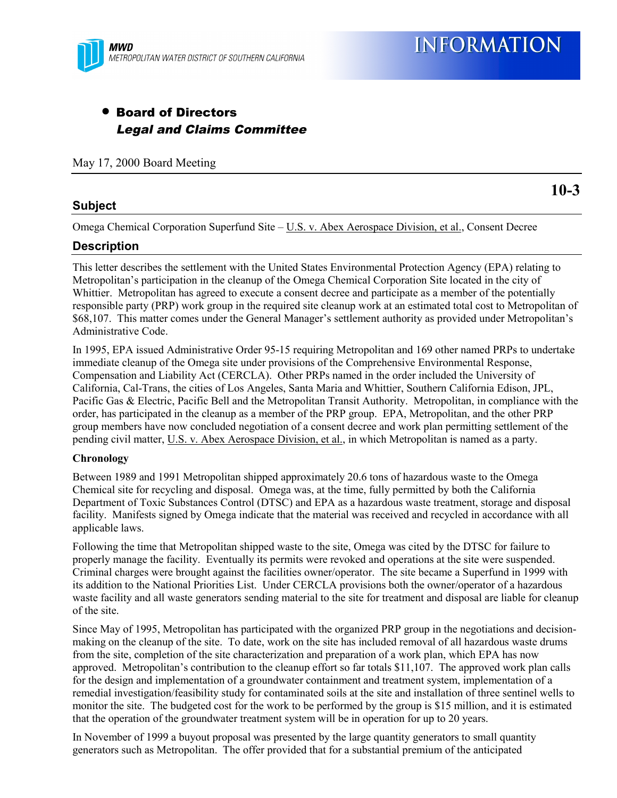

# • Board of Directors Legal and Claims Committee

May 17, 2000 Board Meeting

## **Subject**

**10-3**

Omega Chemical Corporation Superfund Site – U.S. v. Abex Aerospace Division, et al., Consent Decree

### **Description**

This letter describes the settlement with the United States Environmental Protection Agency (EPA) relating to Metropolitan's participation in the cleanup of the Omega Chemical Corporation Site located in the city of Whittier. Metropolitan has agreed to execute a consent decree and participate as a member of the potentially responsible party (PRP) work group in the required site cleanup work at an estimated total cost to Metropolitan of \$68,107. This matter comes under the General Manager's settlement authority as provided under Metropolitan's Administrative Code.

In 1995, EPA issued Administrative Order 95-15 requiring Metropolitan and 169 other named PRPs to undertake immediate cleanup of the Omega site under provisions of the Comprehensive Environmental Response, Compensation and Liability Act (CERCLA). Other PRPs named in the order included the University of California, Cal-Trans, the cities of Los Angeles, Santa Maria and Whittier, Southern California Edison, JPL, Pacific Gas & Electric, Pacific Bell and the Metropolitan Transit Authority. Metropolitan, in compliance with the order, has participated in the cleanup as a member of the PRP group. EPA, Metropolitan, and the other PRP group members have now concluded negotiation of a consent decree and work plan permitting settlement of the pending civil matter, U.S. v. Abex Aerospace Division, et al., in which Metropolitan is named as a party.

#### **Chronology**

Between 1989 and 1991 Metropolitan shipped approximately 20.6 tons of hazardous waste to the Omega Chemical site for recycling and disposal. Omega was, at the time, fully permitted by both the California Department of Toxic Substances Control (DTSC) and EPA as a hazardous waste treatment, storage and disposal facility. Manifests signed by Omega indicate that the material was received and recycled in accordance with all applicable laws.

Following the time that Metropolitan shipped waste to the site, Omega was cited by the DTSC for failure to properly manage the facility. Eventually its permits were revoked and operations at the site were suspended. Criminal charges were brought against the facilities owner/operator. The site became a Superfund in 1999 with its addition to the National Priorities List. Under CERCLA provisions both the owner/operator of a hazardous waste facility and all waste generators sending material to the site for treatment and disposal are liable for cleanup of the site.

Since May of 1995, Metropolitan has participated with the organized PRP group in the negotiations and decisionmaking on the cleanup of the site. To date, work on the site has included removal of all hazardous waste drums from the site, completion of the site characterization and preparation of a work plan, which EPA has now approved. Metropolitan's contribution to the cleanup effort so far totals \$11,107. The approved work plan calls for the design and implementation of a groundwater containment and treatment system, implementation of a remedial investigation/feasibility study for contaminated soils at the site and installation of three sentinel wells to monitor the site. The budgeted cost for the work to be performed by the group is \$15 million, and it is estimated that the operation of the groundwater treatment system will be in operation for up to 20 years.

In November of 1999 a buyout proposal was presented by the large quantity generators to small quantity generators such as Metropolitan. The offer provided that for a substantial premium of the anticipated